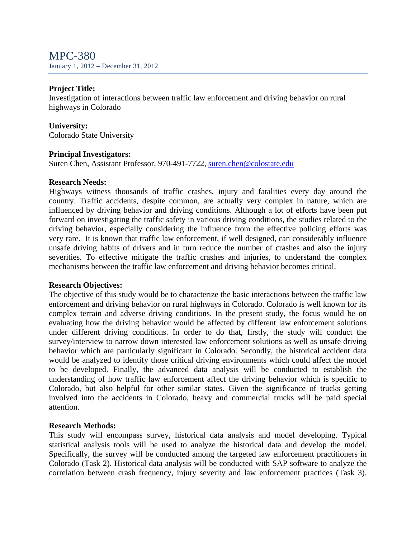MPC-380 January 1, 2012 – December 31, 2012

### **Project Title:**

Investigation of interactions between traffic law enforcement and driving behavior on rural highways in Colorado

### **University:**

Colorado State University

### **Principal Investigators:**

Suren Chen, Assistant Professor, 970-491-7722, suren.chen@colostate.edu

#### **Research Needs:**

Highways witness thousands of traffic crashes, injury and fatalities every day around the country. Traffic accidents, despite common, are actually very complex in nature, which are influenced by driving behavior and driving conditions. Although a lot of efforts have been put forward on investigating the traffic safety in various driving conditions, the studies related to the driving behavior, especially considering the influence from the effective policing efforts was very rare. It is known that traffic law enforcement, if well designed, can considerably influence unsafe driving habits of drivers and in turn reduce the number of crashes and also the injury severities. To effective mitigate the traffic crashes and injuries, to understand the complex mechanisms between the traffic law enforcement and driving behavior becomes critical.

#### **Research Objectives:**

The objective of this study would be to characterize the basic interactions between the traffic law enforcement and driving behavior on rural highways in Colorado. Colorado is well known for its complex terrain and adverse driving conditions. In the present study, the focus would be on evaluating how the driving behavior would be affected by different law enforcement solutions under different driving conditions. In order to do that, firstly, the study will conduct the survey/interview to narrow down interested law enforcement solutions as well as unsafe driving behavior which are particularly significant in Colorado. Secondly, the historical accident data would be analyzed to identify those critical driving environments which could affect the model to be developed. Finally, the advanced data analysis will be conducted to establish the understanding of how traffic law enforcement affect the driving behavior which is specific to Colorado, but also helpful for other similar states. Given the significance of trucks getting involved into the accidents in Colorado, heavy and commercial trucks will be paid special attention.

## **Research Methods:**

This study will encompass survey, historical data analysis and model developing. Typical statistical analysis tools will be used to analyze the historical data and develop the model. Specifically, the survey will be conducted among the targeted law enforcement practitioners in Colorado (Task 2). Historical data analysis will be conducted with SAP software to analyze the correlation between crash frequency, injury severity and law enforcement practices (Task 3).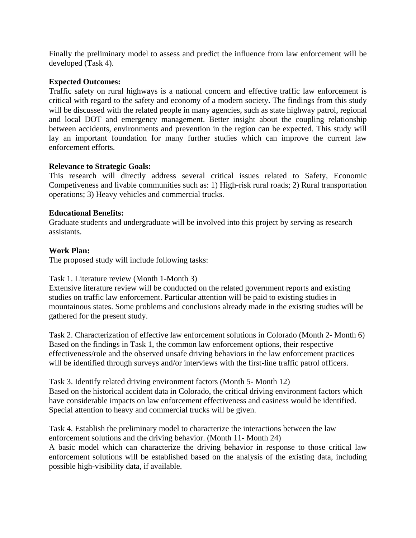Finally the preliminary model to assess and predict the influence from law enforcement will be developed (Task 4).

# **Expected Outcomes:**

Traffic safety on rural highways is a national concern and effective traffic law enforcement is critical with regard to the safety and economy of a modern society. The findings from this study will be discussed with the related people in many agencies, such as state highway patrol, regional and local DOT and emergency management. Better insight about the coupling relationship between accidents, environments and prevention in the region can be expected. This study will lay an important foundation for many further studies which can improve the current law enforcement efforts.

# **Relevance to Strategic Goals:**

This research will directly address several critical issues related to Safety, Economic Competiveness and livable communities such as: 1) High-risk rural roads; 2) Rural transportation operations; 3) Heavy vehicles and commercial trucks.

# **Educational Benefits:**

Graduate students and undergraduate will be involved into this project by serving as research assistants.

# **Work Plan:**

The proposed study will include following tasks:

## Task 1. Literature review (Month 1-Month 3)

Extensive literature review will be conducted on the related government reports and existing studies on traffic law enforcement. Particular attention will be paid to existing studies in mountainous states. Some problems and conclusions already made in the existing studies will be gathered for the present study.

Task 2. Characterization of effective law enforcement solutions in Colorado (Month 2- Month 6) Based on the findings in Task 1, the common law enforcement options, their respective effectiveness/role and the observed unsafe driving behaviors in the law enforcement practices will be identified through surveys and/or interviews with the first-line traffic patrol officers.

Task 3. Identify related driving environment factors (Month 5- Month 12) Based on the historical accident data in Colorado, the critical driving environment factors which have considerable impacts on law enforcement effectiveness and easiness would be identified. Special attention to heavy and commercial trucks will be given.

Task 4. Establish the preliminary model to characterize the interactions between the law enforcement solutions and the driving behavior. (Month 11- Month 24) A basic model which can characterize the driving behavior in response to those critical law enforcement solutions will be established based on the analysis of the existing data, including possible high-visibility data, if available.